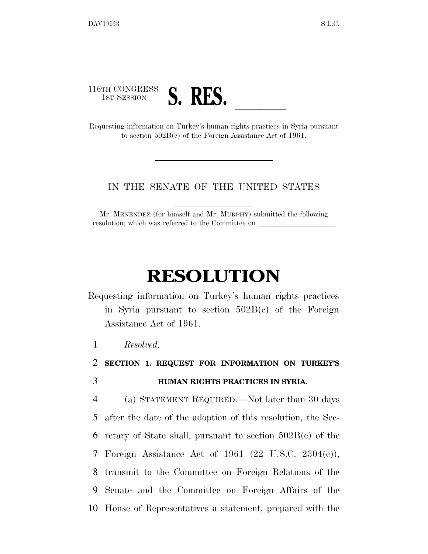

to section 502B(c) of the Foreign Assistance Act of 1961.

## IN THE SENATE OF THE UNITED STATES

Mr. MENENDEZ (for himself and Mr. MURPHY) submitted the following resolution; which was referred to the Committee on

## **RESOLUTION**

Requesting information on Turkey's human rights practices in Syria pursuant to section 502B(c) of the Foreign Assistance Act of 1961.

1 *Resolved,* 

2 **SECTION 1. REQUEST FOR INFORMATION ON TURKEY'S**  3 **HUMAN RIGHTS PRACTICES IN SYRIA.** 

 (a) STATEMENT REQUIRED.—Not later than 30 days after the date of the adoption of this resolution, the Sec-6 retary of State shall, pursuant to section  $502B(c)$  of the Foreign Assistance Act of 1961 (22 U.S.C. 2304(c)), transmit to the Committee on Foreign Relations of the Senate and the Committee on Foreign Affairs of the House of Representatives a statement, prepared with the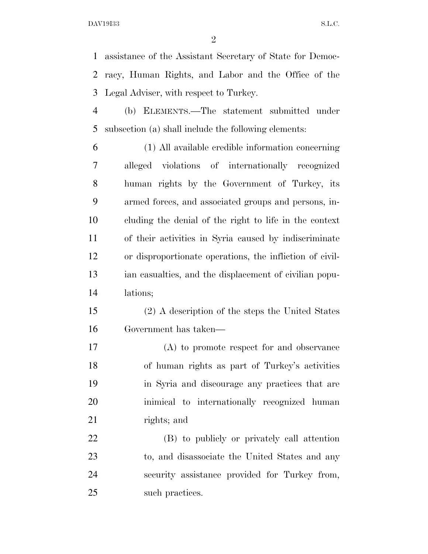assistance of the Assistant Secretary of State for Democ- racy, Human Rights, and Labor and the Office of the Legal Adviser, with respect to Turkey.

 (b) ELEMENTS.—The statement submitted under subsection (a) shall include the following elements:

 (1) All available credible information concerning alleged violations of internationally recognized human rights by the Government of Turkey, its armed forces, and associated groups and persons, in- cluding the denial of the right to life in the context of their activities in Syria caused by indiscriminate or disproportionate operations, the infliction of civil- ian casualties, and the displacement of civilian popu-lations;

 (2) A description of the steps the United States Government has taken—

 (A) to promote respect for and observance of human rights as part of Turkey's activities in Syria and discourage any practices that are inimical to internationally recognized human rights; and

 (B) to publicly or privately call attention to, and disassociate the United States and any security assistance provided for Turkey from, 25 such practices.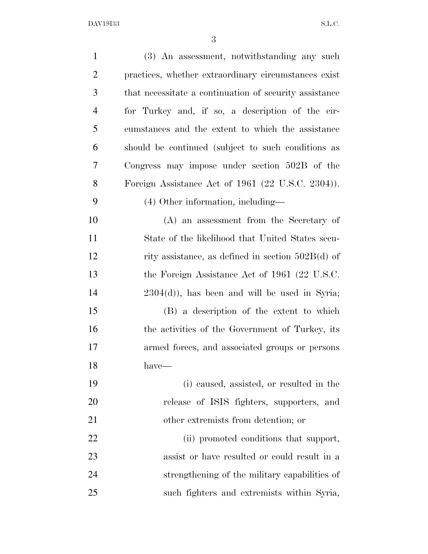DAV19I33 S.L.C.

| $\mathbf{1}$   | (3) An assessment, notwithstanding any such            |
|----------------|--------------------------------------------------------|
| $\overline{2}$ | practices, whether extraordinary circumstances exist   |
| 3              | that necessitate a continuation of security assistance |
| $\overline{4}$ | for Turkey and, if so, a description of the cir-       |
| 5              | cumstances and the extent to which the assistance      |
| 6              | should be continued (subject to such conditions as     |
| 7              | Congress may impose under section 502B of the          |
| 8              | Foreign Assistance Act of 1961 (22 U.S.C. 2304)).      |
| 9              | (4) Other information, including—                      |
| 10             | (A) an assessment from the Secretary of                |
| 11             | State of the likelihood that United States secu-       |
| 12             | rity assistance, as defined in section $502B(d)$ of    |
| 13             | the Foreign Assistance Act of 1961 (22 U.S.C.          |
| 14             | $2304(d)$ , has been and will be used in Syria;        |
| 15             | (B) a description of the extent to which               |
| 16             | the activities of the Government of Turkey, its        |
| 17             | armed forces, and associated groups or persons         |
| 18             | have-                                                  |
| 19             | (i) caused, assisted, or resulted in the               |
| 20             | release of ISIS fighters, supporters, and              |
| 21             | other extremists from detention; or                    |
| 22             | (ii) promoted conditions that support,                 |
| 23             | assist or have resulted or could result in a           |
| 24             | strengthening of the military capabilities of          |
| 25             | such fighters and extremists within Syria,             |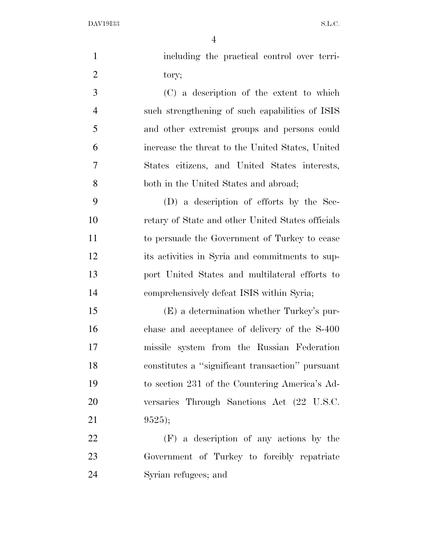DAV19I33 S.L.C.

| $\mathbf{1}$   | including the practical control over terri-       |
|----------------|---------------------------------------------------|
| $\overline{2}$ | tory;                                             |
| 3              | (C) a description of the extent to which          |
| $\overline{4}$ | such strengthening of such capabilities of ISIS   |
| 5              | and other extremist groups and persons could      |
| 6              | increase the threat to the United States, United  |
| 7              | States citizens, and United States interests,     |
| 8              | both in the United States and abroad;             |
| 9              | (D) a description of efforts by the Sec-          |
| 10             | retary of State and other United States officials |
| 11             | to persuade the Government of Turkey to cease     |
| 12             | its activities in Syria and commitments to sup-   |
| 13             | port United States and multilateral efforts to    |
| 14             | comprehensively defeat ISIS within Syria;         |
| 15             | (E) a determination whether Turkey's pur-         |
| 16             | chase and acceptance of delivery of the S-400     |
| 17             | missile system from the Russian Federation        |
| 18             | constitutes a "significant transaction" pursuant  |
| 19             | to section 231 of the Countering America's Ad-    |
| 20             | versaries Through Sanctions Act (22 U.S.C.        |
| 21             | 9525;                                             |
| 22             | (F) a description of any actions by the           |
| 23             | Government of Turkey to forcibly repatriate       |
| 24             | Syrian refugees; and                              |
|                |                                                   |